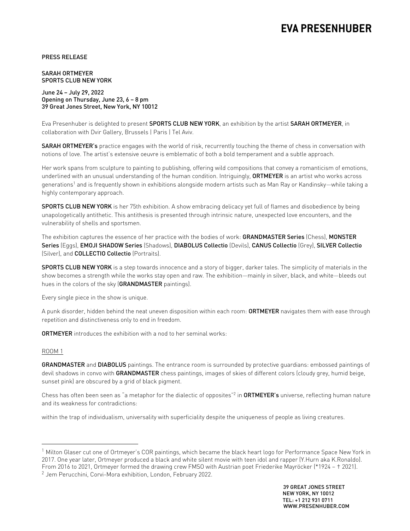# **EVA PRESENHUBER**

PRESS RELEASE

SARAH ORTMEYER SPORTS CLUB NEW YORK

June 24 – July 29, 2022 Opening on Thursday, June 23, 6 – 8 pm 39 Great Jones Street, New York, NY 10012

Eva Presenhuber is delighted to present SPORTS CLUB NEW YORK, an exhibition by the artist SARAH ORTMEYER, in collaboration with Dvir Gallery, Brussels | Paris | Tel Aviv.

SARAH ORTMEYER's practice engages with the world of risk, recurrently touching the theme of chess in conversation with notions of love. The artist's extensive oeuvre is emblematic of both a bold temperament and a subtle approach.

Her work spans from sculpture to painting to publishing, offering wild compositions that convey a romanticism of emotions, underlined with an unusual understanding of the human condition. Intriguingly, ORTMEYER is an artist who works across generations<sup>1</sup> and is frequently shown in exhibitions alongside modern artists such as Man Ray or Kandinsky—while taking a highly contemporary approach.

SPORTS CLUB NEW YORK is her 75th exhibition. A show embracing delicacy yet full of flames and disobedience by being unapologetically antithetic. This antithesis is presented through intrinsic nature, unexpected love encounters, and the vulnerability of shells and sportsmen.

The exhibition captures the essence of her practice with the bodies of work: GRANDMASTER Series (Chess), MONSTER Series (Eggs), EMOJI SHADOW Series (Shadows), DIABOLUS Collectio (Devils), CANUS Collectio (Grey), SILVER Collectio (Silver), and COLLECTIO Collectio (Portraits).

**SPORTS CLUB NEW YORK** is a step towards innocence and a story of bigger, darker tales. The simplicity of materials in the show becomes a strength while the works stay open and raw. The exhibition—mainly in silver, black, and white—bleeds out hues in the colors of the sky (GRANDMASTER paintings).

Every single piece in the show is unique.

A punk disorder, hidden behind the neat uneven disposition within each room: ORTMEYER navigates them with ease through repetition and distinctiveness only to end in freedom.

ORTMEYER introduces the exhibition with a nod to her seminal works:

## ROOM 1

GRANDMASTER and DIABOLUS paintings. The entrance room is surrounded by protective guardians: embossed paintings of devil shadows in convo with GRANDMASTER chess paintings, images of skies of different colors (cloudy grey, humid beige, sunset pink) are obscured by a grid of black pigment.

Chess has often been seen as "a metaphor for the dialectic of opposites"<sup>2</sup> in **ORTMEYER's** universe, reflecting human nature and its weakness for contradictions:

within the trap of individualism, universality with superficiality despite the uniqueness of people as living creatures.

<sup>&</sup>lt;sup>1</sup> Milton Glaser cut one of Ortmeyer's COR paintings, which became the black heart logo for Performance Space New York in 2017. One year later, Ortmeyer produced a black and white silent movie with teen idol and rapper (Y.Hurn aka K.Ronaldo). From 2016 to 2021, Ortmeyer formed the drawing crew FMSO with Austrian poet Friederike Mayröcker (\*1924 – † 2021).

<sup>2</sup> Jem Perucchini, Corvi-Mora exhibition, London, February 2022.